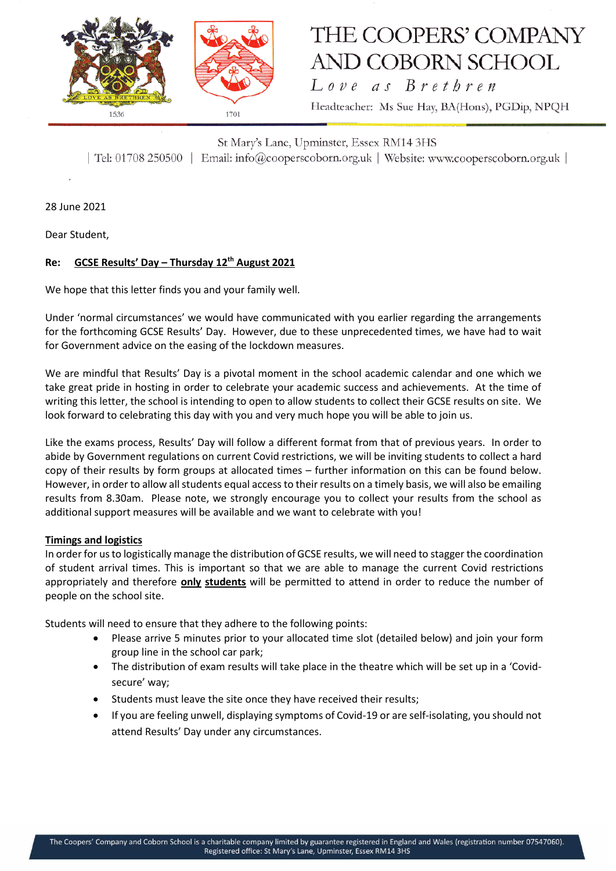

# THE COOPERS' COMPANY **AND COBORN SCHOOL**

Love as Brethren Headteacher: Ms Sue Hay, BA(Hons), PGDip, NPQH

St Mary's Lane, Upminster, Essex RM14 3HS | Tel: 01708 250500 | Email: info@cooperscoborn.org.uk | Website: www.cooperscoborn.org.uk |

28 June 2021

Dear Student,

## **Re: GCSE Results' Day – Thursday 12th August 2021**

We hope that this letter finds you and your family well.

Under 'normal circumstances' we would have communicated with you earlier regarding the arrangements for the forthcoming GCSE Results' Day. However, due to these unprecedented times, we have had to wait for Government advice on the easing of the lockdown measures.

We are mindful that Results' Day is a pivotal moment in the school academic calendar and one which we take great pride in hosting in order to celebrate your academic success and achievements. At the time of writing this letter, the school is intending to open to allow students to collect their GCSE results on site. We look forward to celebrating this day with you and very much hope you will be able to join us.

Like the exams process, Results' Day will follow a different format from that of previous years. In order to abide by Government regulations on current Covid restrictions, we will be inviting students to collect a hard copy of their results by form groups at allocated times – further information on this can be found below. However, in order to allow all students equal access to their results on a timely basis, we will also be emailing results from 8.30am. Please note, we strongly encourage you to collect your results from the school as additional support measures will be available and we want to celebrate with you!

### **Timings and logistics**

In order for us to logistically manage the distribution of GCSE results, we will need to stagger the coordination of student arrival times. This is important so that we are able to manage the current Covid restrictions appropriately and therefore **only students** will be permitted to attend in order to reduce the number of people on the school site.

Students will need to ensure that they adhere to the following points:

- Please arrive 5 minutes prior to your allocated time slot (detailed below) and join your form group line in the school car park;
- The distribution of exam results will take place in the theatre which will be set up in a 'Covidsecure' way;
- Students must leave the site once they have received their results;
- If you are feeling unwell, displaying symptoms of Covid-19 or are self-isolating, you should not attend Results' Day under any circumstances.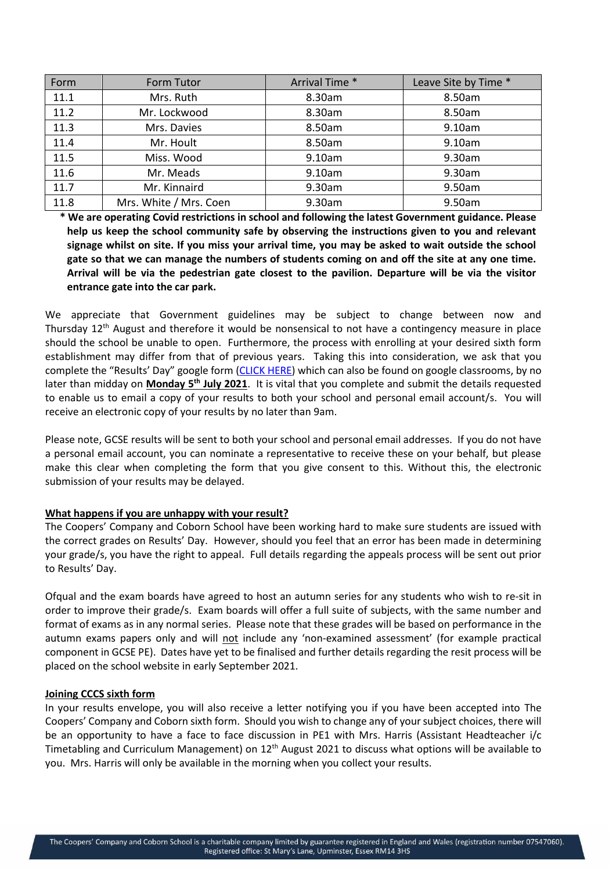| Form | <b>Form Tutor</b>      | Arrival Time * | Leave Site by Time * |
|------|------------------------|----------------|----------------------|
| 11.1 | Mrs. Ruth              | 8.30am         | 8.50am               |
| 11.2 | Mr. Lockwood           | 8.30am         | 8.50am               |
| 11.3 | Mrs. Davies            | 8.50am         | 9.10am               |
| 11.4 | Mr. Hoult              | 8.50am         | 9.10am               |
| 11.5 | Miss. Wood             | 9.10am         | 9.30am               |
| 11.6 | Mr. Meads              | 9.10am         | 9.30am               |
| 11.7 | Mr. Kinnaird           | 9.30am         | 9.50am               |
| 11.8 | Mrs. White / Mrs. Coen | 9.30am         | 9.50am               |

**\* We are operating Covid restrictions in school and following the latest Government guidance. Please help us keep the school community safe by observing the instructions given to you and relevant signage whilst on site. If you miss your arrival time, you may be asked to wait outside the school gate so that we can manage the numbers of students coming on and off the site at any one time. Arrival will be via the pedestrian gate closest to the pavilion. Departure will be via the visitor entrance gate into the car park.**

We appreciate that Government guidelines may be subject to change between now and Thursday  $12<sup>th</sup>$  August and therefore it would be nonsensical to not have a contingency measure in place should the school be unable to open. Furthermore, the process with enrolling at your desired sixth form establishment may differ from that of previous years. Taking this into consideration, we ask that you complete the "Results' Day" google form [\(CLICK HERE\)](https://forms.gle/36RBhknLb36F5gsx7) which can also be found on google classrooms, by no later than midday on **Monday 5th July 2021**. It is vital that you complete and submit the details requested to enable us to email a copy of your results to both your school and personal email account/s. You will receive an electronic copy of your results by no later than 9am.

Please note, GCSE results will be sent to both your school and personal email addresses. If you do not have a personal email account, you can nominate a representative to receive these on your behalf, but please make this clear when completing the form that you give consent to this. Without this, the electronic submission of your results may be delayed.

### **What happens if you are unhappy with your result?**

The Coopers' Company and Coborn School have been working hard to make sure students are issued with the correct grades on Results' Day. However, should you feel that an error has been made in determining your grade/s, you have the right to appeal. Full details regarding the appeals process will be sent out prior to Results' Day.

Ofqual and the exam boards have agreed to host an autumn series for any students who wish to re-sit in order to improve their grade/s. Exam boards will offer a full suite of subjects, with the same number and format of exams as in any normal series. Please note that these grades will be based on performance in the autumn exams papers only and will not include any 'non-examined assessment' (for example practical component in GCSE PE). Dates have yet to be finalised and further details regarding the resit process will be placed on the school website in early September 2021.

#### **Joining CCCS sixth form**

In your results envelope, you will also receive a letter notifying you if you have been accepted into The Coopers' Company and Coborn sixth form. Should you wish to change any of your subject choices, there will be an opportunity to have a face to face discussion in PE1 with Mrs. Harris (Assistant Headteacher i/c Timetabling and Curriculum Management) on  $12<sup>th</sup>$  August 2021 to discuss what options will be available to you. Mrs. Harris will only be available in the morning when you collect your results.